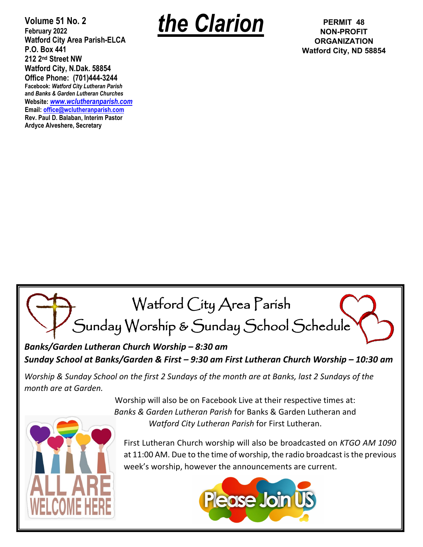**Volume 51 No. 2 February 2022 Watford City Area Parish-ELCA P.O. Box 441 212 2nd Street NW Watford City, N.Dak. 58854 Office Phone: (701)444-3244 Facebook:** *Watford City Lutheran Parish* **and** *Banks & Garden Lutheran Churches* **Website:** *[www.wclutheranparish.com](http://www.wclutheranparish.com/)* **Email: [office@wclutheranparish.com](mailto:office@wclutheranparish.com) Rev. Paul D. Balaban, Interim Pastor Ardyce Alveshere, Secretary**



**NON-PROFIT ORGANIZATION Watford City, ND 58854**



*Banks/Garden Lutheran Church Worship – 8:30 am Sunday School at Banks/Garden & First – 9:30 am First Lutheran Church Worship – 10:30 am*

*Worship & Sunday School on the first 2 Sundays of the month are at Banks, last 2 Sundays of the month are at Garden.*

> Worship will also be on Facebook Live at their respective times at: *Banks & Garden Lutheran Parish* for Banks & Garden Lutheran and *Watford City Lutheran Parish* for First Lutheran.

First Lutheran Church worship will also be broadcasted on *KTGO AM 1090* at 11:00 AM. Due to the time of worship, the radio broadcast is the previous week's worship, however the announcements are current.

L

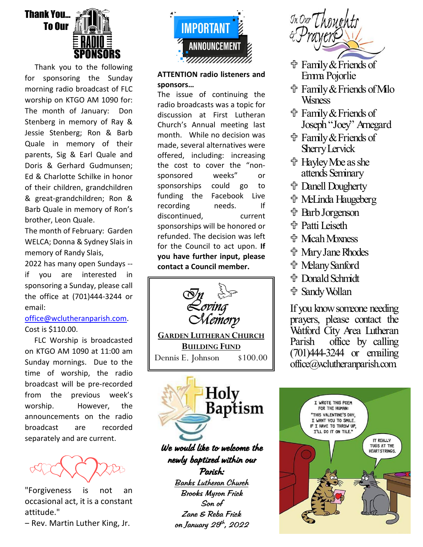

 Thank you to the following for sponsoring the Sunday morning radio broadcast of FLC worship on KTGO AM 1090 for: The month of January: Don Stenberg in memory of Ray & Jessie Stenberg; Ron & Barb Quale in memory of their parents, Sig & Earl Quale and Doris & Gerhard Gudmunsen; Ed & Charlotte Schilke in honor of their children, grandchildren & great-grandchildren; Ron & Barb Quale in memory of Ron's brother, Leon Quale.

The month of February: Garden WELCA; Donna & Sydney Slais in memory of Randy Slais,

2022 has many open Sundays - if you are interested in sponsoring a Sunday, please call the office at (701)444-3244 or email:

## [office@wclutheranparish.com.](mailto:office@wclutheranparish.com) Cost is \$110.00.

 FLC Worship is broadcasted on KTGO AM 1090 at 11:00 am Sunday mornings. Due to the time of worship, the radio broadcast will be pre-recorded from the previous week's worship. However, the announcements on the radio broadcast are recorded separately and are current.

"Forgiveness is not an occasional act, it is a constant attitude."

‒ Rev. Martin Luther King, Jr.



## **ATTENTION radio listeners and sponsors…**

The issue of continuing the radio broadcasts was a topic for discussion at First Lutheran Church's Annual meeting last month. While no decision was made, several alternatives were offered, including: increasing the cost to cover the "nonsponsored weeks" or sponsorships could go to funding the Facebook Live recording needs. If discontinued, current sponsorships will be honored or refunded. The decision was left for the Council to act upon. **If you have further input, please contact a Council member.**



**GARDEN LUTHERAN CHURCH BUILDING FUND** Dennis E. Johnson \$100.00



We would like to welcome the newly baptized within our Parish:

Banks Lutheran Church Brooks Myron Frick Son of Zane & Reba Frick on January 2 $3^{th}$ , 2022

In Our Thoughts

- Family & Friends of Emma Pojorlie
- Family & Friends of Milo **W**sness
- Family & Friends of Joseph "Joey" Arnegard
- **宁 Family & Friends of** Sherry Lervick
- **廿 Hayley Me as she** attends Seminary
- Danell Dougherty
- **十 MeLinda Haugeberg**
- **the Barb Jorgenson**
- **d** Patti Leiseth
- **令 Micah Moxness**
- **<sup>令</sup> Mary Jane Rhodes**
- **廿 Melany Sanford**
- Donald Schmidt
- **廿 Sandy Wollan**

If you know someone needing prayers, please contact the Watford City Area Lutheran Parish office by calling (701)444-3244 or emailing office@wclutheranparish.com.